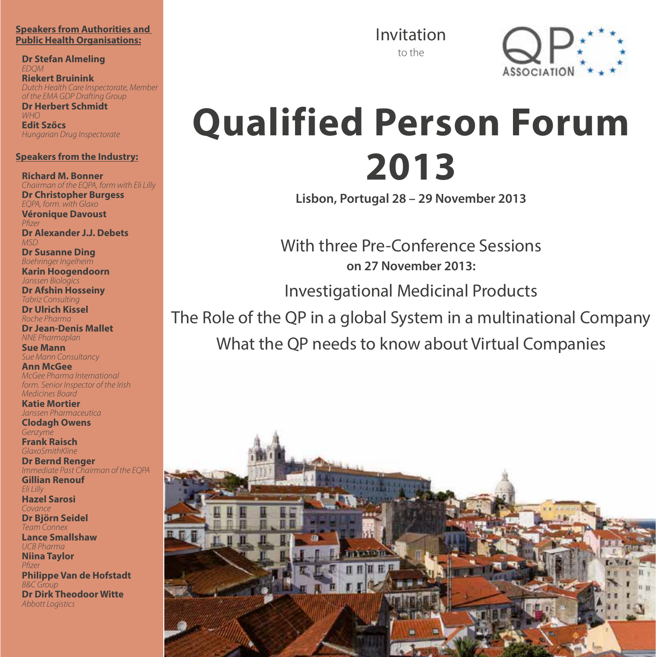#### **Speakers from Authorities and Public Health Organisations:**

**Dr Stefan Almeling** *EDQM*

**Riekert Bruinink** *Dutch Health Care Inspectorate, Member of the EMA GDP Drafting Group*

**Dr Herbert Schmidt** *WHO* **Edit Szőcs** *Hungarian Drug Inspectorate*

#### **Speakers from the Industry:**

**Richard M. Bonner** *Chairman of the EQPA, form with Eli Lilly* **Dr Christopher Burgess**

*EQPA, form. with Glaxo* **Véronique Davoust** Pfizer **Dr Alexander J.J. Debets**

*MSD* **Dr Susanne Ding** *Boehringer Ingelheim*

**Karin Hoogendoorn** *Janssen Biologics*

**Dr Afshin Hosseiny** *Tabriz Consulting* **Dr Ulrich Kissel**

*Roche Pharma* 

**Dr Jean-Denis Mallet** *NNE Pharmaplan*

**Sue Mann** *Sue Mann Consultancy*

**Ann McGee** *McGee Pharma International form. Senior Inspector of the Irish Medicines Board*

**Katie Mortier** *Janssen Pharmaceutica* **Clodagh Owens** *Genzyme* **Frank Raisch**

*GlaxoSmithKline*  **Dr Bernd Renger**

*Immediate Past Chairman of the EQPA* **Gillian Renouf**

*Eli Lilly* **Hazel Sarosi** *Covance* **Dr Björn Seidel**

*Team Connex* **Lance Smallshaw** *UCB Pharma* **Niina Taylor** *P zer* **Philippe Van de Hofstadt** *B&C Group* **Dr Dirk Theodoor Witte** *Abbott Logistics*

Invitation to the



# **Qualified Person Forum 2013**

**Lisbon, Portugal 28 – 29 November 2013**

With three Pre-Conference Sessions **on 27 November 2013:**

Investigational Medicinal Products

The Role of the QP in a global System in a multinational Company

What the QP needs to know about Virtual Companies

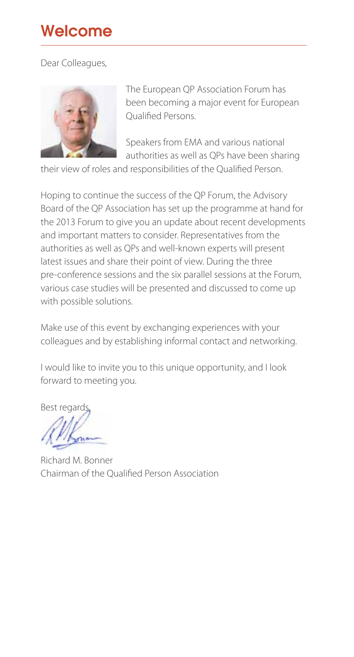# Welcome

## Dear Colleagues,



The European QP Association Forum has been becoming a major event for European Qualified Persons.

Speakers from EMA and various national authorities as well as QPs have been sharing

their view of roles and responsibilities of the Qualified Person.

Hoping to continue the success of the QP Forum, the Advisory Board of the QP Association has set up the programme at hand for the 2013 Forum to give you an update about recent developments and important matters to consider. Representatives from the authorities as well as QPs and well-known experts will present latest issues and share their point of view. During the three pre-conference sessions and the six parallel sessions at the Forum, various case studies will be presented and discussed to come up with possible solutions.

Make use of this event by exchanging experiences with your colleagues and by establishing informal contact and networking.

I would like to invite you to this unique opportunity, and I look forward to meeting you.

Best regards,

Richard M. Bonner Chairman of the Qualified Person Association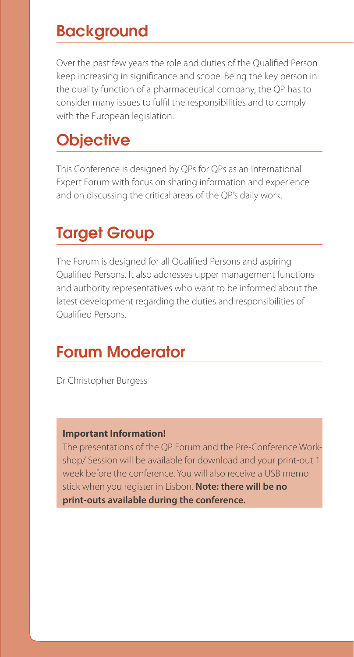# **Backaround**

Over the past few years the role and duties of the Qualified Person keep increasing in significance and scope. Being the key person in the quality function of a pharmaceutical company, the QP has to consider many issues to fulfil the responsibilities and to comply with the European legislation.

# **Objective**

This Conference is designed by QPs for QPs as an International Expert Forum with focus on sharing information and experience and on discussing the critical areas of the QP's daily work.

# Target Group

The Forum is designed for all Qualified Persons and aspiring Qualified Persons. It also addresses upper management functions and authority representatives who want to be informed about the latest development regarding the duties and responsibilities of Qualified Persons.

# Forum Moderator

Dr Christopher Burgess

#### **Important Information!**

The presentations of the QP Forum and the Pre-Conference Workshop/ Session will be available for download and your print-out 1 week before the conference. You will also receive a USB memo stick when you register in Lisbon. **Note: there will be no print-outs available during the conference.**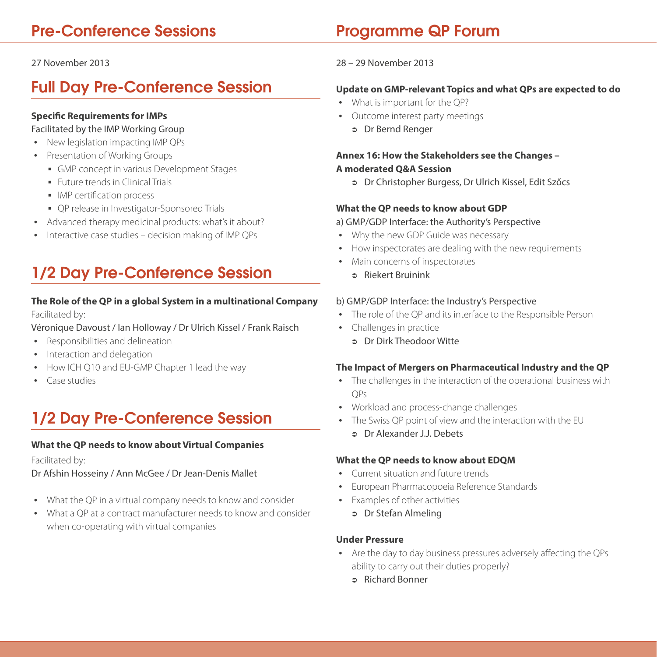# Pre-Conference Sessions

## 27 November 2013

# Full Day Pre-Conference Session

# **Specific Requirements for IMPs**

# Facilitated by the IMP Working Group

- New legislation impacting IMP QPs
- Presentation of Working Groups
	- GMP concept in various Development Stages
	- **Future trends in Clinical Trials**
	- **IMP** certification process
	- QP release in Investigator-Sponsored Trials
- Advanced therapy medicinal products: what's it about?
- Interactive case studies decision making of IMP QPs

# 1/2 Day Pre-Conference Session

# **The Role of the QP in a global System in a multinational Company**

Facilitated by:

Véronique Davoust / Ian Holloway / Dr Ulrich Kissel / Frank Raisch

- Responsibilities and delineation
- Interaction and delegation
- How ICH Q10 and EU-GMP Chapter 1 lead the way
- y Case studies

# 1/2 Day Pre-Conference Session

## **What the QP needs to know about Virtual Companies**

Facilitated by:

Dr Afshin Hosseiny / Ann McGee / Dr Jean-Denis Mallet

- What the QP in a virtual company needs to know and consider
- What a QP at a contract manufacturer needs to know and consider when co-operating with virtual companies

# Programme QP Forum

# 28 – 29 November 2013

# **Update on GMP-relevant Topics and what QPs are expected to do**

- What is important for the QP?
- Outcome interest party meetings
	- <sup>Â</sup> Dr Bernd Renger

# **Annex 16: How the Stakeholders see the Changes – A moderated Q&A Session**

<sup>Â</sup> Dr Christopher Burgess, Dr Ulrich Kissel, Edit Szőcs

## **What the QP needs to know about GDP**

## a) GMP/GDP Interface: the Authority's Perspective

- Why the new GDP Guide was necessary
- How inspectorates are dealing with the new requirements
- Main concerns of inspectorates
	- $\Rightarrow$  Riekert Bruinink

## b) GMP/GDP Interface: the Industry's Perspective

- The role of the QP and its interface to the Responsible Person
- Challenges in practice
	- <sup>Â</sup> Dr Dirk Theodoor Witte

## **The Impact of Mergers on Pharmaceutical Industry and the QP**

- The challenges in the interaction of the operational business with QPs
- Workload and process-change challenges
- The Swiss QP point of view and the interaction with the EU
	- <sup>Â</sup> Dr Alexander J.J. Debets

## **What the QP needs to know about EDQM**

- y Current situation and future trends
- European Pharmacopoeia Reference Standards
- Examples of other activities
	- <sup>Â</sup> Dr Stefan Almeling

#### **Under Pressure**

- Are the day to day business pressures adversely affecting the OPs ability to carry out their duties properly?
	- <sup>Â</sup> Richard Bonner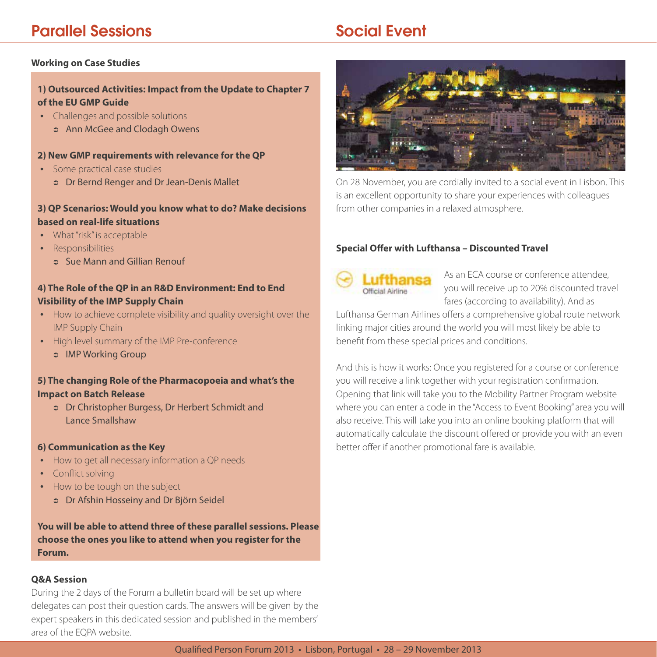# Parallel Sessions

# Social Event

#### **Working on Case Studies**

## **1) Outsourced Activities: Impact from the Update to Chapter 7 of the EU GMP Guide**

- Challenges and possible solutions
	- **S** Ann McGee and Clodagh Owens

## **2) New GMP requirements with relevance for the QP**

- Some practical case studies
	- <sup>Â</sup> Dr Bernd Renger and Dr Jean-Denis Mallet

# **3) QP Scenarios: Would you know what to do? Make decisions based on real-life situations**

- What "risk" is acceptable
- Responsibilities
	- **Co. Sue Mann and Gillian Renout**

# **4) The Role of the QP in an R&D Environment: End to End Visibility of the IMP Supply Chain**

- How to achieve complete visibility and quality oversight over the IMP Supply Chain
- High level summary of the IMP Pre-conference
	- **B** IMP Working Group

## **5) The changing Role of the Pharmacopoeia and what's the Impact on Batch Release**

<sup>Â</sup> Dr Christopher Burgess, Dr Herbert Schmidt and Lance Smallshaw

#### **6) Communication as the Key**

- How to get all necessary information a QP needs
- Conflict solving
- How to be tough on the subject
	- <sup>Â</sup> Dr Afshin Hosseiny and Dr Björn Seidel

**You will be able to attend three of these parallel sessions. Please choose the ones you like to attend when you register for the Forum.**

#### **Q&A Session**

During the 2 days of the Forum a bulletin board will be set up where delegates can post their question cards. The answers will be given by the expert speakers in this dedicated session and published in the members' area of the EQPA website.



On 28 November, you are cordially invited to a social event in Lisbon. This is an excellent opportunity to share your experiences with colleagues from other companies in a relaxed atmosphere.

# **Special Offer with Lufthansa – Discounted Travel**



As an ECA course or conference attendee, you will receive up to 20% discounted travel fares (according to availability). And as

Lufthansa German Airlines offers a comprehensive global route network linking major cities around the world you will most likely be able to benefit from these special prices and conditions.

And this is how it works: Once you registered for a course or conference you will receive a link together with your registration confirmation. Opening that link will take you to the Mobility Partner Program website where you can enter a code in the "Access to Event Booking" area you will also receive. This will take you into an online booking platform that will automatically calculate the discount offered or provide you with an even better offer if another promotional fare is available.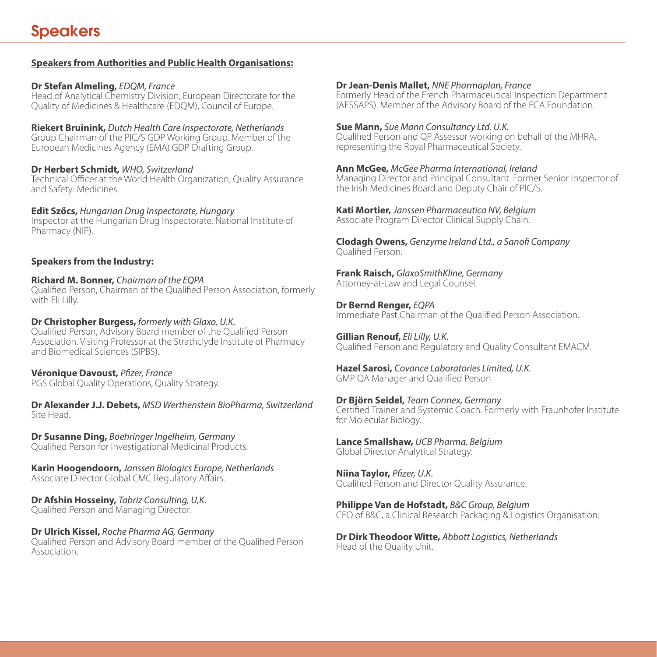# **Speakers from Authorities and Public Health Organisations:**

# **Dr Stefan Almeling,** *EDQM, France*

Head of Analytical Chemistry Division; European Directorate for the Quality of Medicines & Healthcare (EDQM), Council of Europe.

**Riekert Bruinink,** *Dutch Health Care Inspectorate, Netherlands* Group Chairman of the PIC/S GDP Working Group, Member of the European Medicines Agency (EMA) GDP Drafting Group.

# **Dr Herbert Schmidt,** *WHO, Switzerland*

Technical Officer at the World Health Organization, Quality Assurance and Safety: Medicines.

**Edit Szőcs,** *Hungarian Drug Inspectorate, Hungary* Inspector at the Hungarian Drug Inspectorate, National Institute of Pharmacy (NIP).

# **Speakers from the Industry:**

## **Richard M. Bonner,** *Chairman of the EQPA*

Qualified Person, Chairman of the Qualified Person Association, formerly with Eli Lilly.

## **Dr Christopher Burgess,** *formerly with Glaxo, U.K.*

Qualified Person, Advisory Board member of the Qualified Person Association. Visiting Professor at the Strathclyde Institute of Pharmacy and Biomedical Sciences (SIPBS).

## **Véronique Davoust,** *Pfizer, France*

PGS Global Quality Operations, Quality Strategy.

**Dr Alexander J.J. Debets,** *MSD Werthenstein BioPharma, Switzerland* Site Head.

**Dr Susanne Ding,** *Boehringer Ingelheim, Germany* Qualified Person for Investigational Medicinal Products.

**Karin Hoogendoorn,** *Janssen Biologics Europe, Netherlands* Associate Director Global CMC Regulatory Affairs.

# **Dr Afshin Hosseiny,** *Tabriz Consulting, U,K.*

Qualified Person and Managing Director.

# **Dr Ulrich Kissel,** *Roche Pharma AG, Germany*

Qualified Person and Advisory Board member of the Qualified Person Association.

# **Dr Jean-Denis Mallet,** *NNE Pharmaplan, France*

Formerly Head of the French Pharmaceutical Inspection Department (AFSSAPS). Member of the Advisory Board of the ECA Foundation.

#### **Sue Mann,** *Sue Mann Consultancy Ltd. U.K.*

Qualified Person and QP Assessor working on behalf of the MHRA, representing the Royal Pharmaceutical Society.

# **Ann McGee,** *McGee Pharma International, Ireland*

Managing Director and Principal Consultant. Former Senior Inspector of the Irish Medicines Board and Deputy Chair of PIC/S.

**Kati Mortier,** *Janssen Pharmaceutica NV, Belgium* Associate Program Director Clinical Supply Chain.

**Clodagh Owens,** *Genzyme Ireland Ltd., a Sanofi Company* Qualified Person.

**Frank Raisch,** *GlaxoSmithKline, Germany* Attorney-at-Law and Legal Counsel.

**Dr Bernd Renger,** *EQPA* Immediate Past Chairman of the Qualified Person Association.

**Gillian Renouf,** *Eli Lilly, U.K.*  Qualified Person and Regulatory and Quality Consultant EMACM.

**Hazel Sarosi,** *Covance Laboratories Limited, U.K.* GMP QA Manager and Qualified Person

# **Dr Björn Seidel,** *Team Connex, Germany*

Certified Trainer and Systemic Coach. Formerly with Fraunhofer Institute for Molecular Biology.

**Lance Smallshaw,** *UCB Pharma, Belgium* Global Director Analytical Strategy.

**Niina Taylor,** *Pfizer, U.K.* Qualified Person and Director Quality Assurance.

**Philippe Van de Hofstadt,** *B&C Group, Belgium* CEO of B&C, a Clinical Research Packaging & Logistics Organisation.

**Dr Dirk Theodoor Witte,** *Abbott Logistics, Netherlands* Head of the Quality Unit.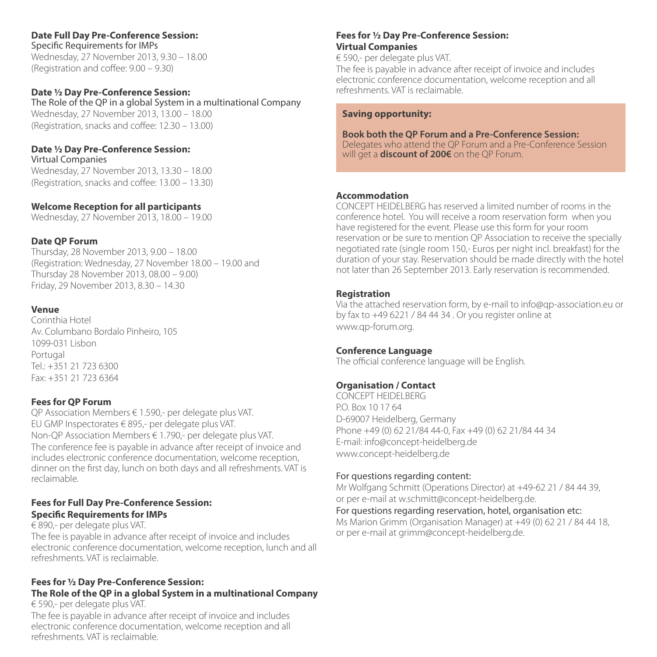# **Date Full Day Pre-Conference Session:**

Specific Requirements for IMPs Wednesday, 27 November 2013, 9.30 – 18.00 (Registration and coffee: 9.00 – 9.30)

#### **Date ½ Day Pre-Conference Session:**

The Role of the QP in a global System in a multinational Company Wednesday, 27 November 2013, 13.00 – 18.00 (Registration, snacks and coffee: 12.30 – 13.00)

#### **Date ½ Day Pre-Conference Session:**

Virtual Companies Wednesday, 27 November 2013, 13.30 – 18.00 (Registration, snacks and coffee: 13.00 – 13.30)

#### **Welcome Reception for all participants**

Wednesday, 27 November 2013, 18.00 – 19.00

#### **Date QP Forum**

Thursday, 28 November 2013, 9.00 – 18.00 (Registration: Wednesday, 27 November 18.00 – 19.00 and Thursday 28 November 2013, 08.00 – 9.00) Friday, 29 November 2013, 8.30 – 14.30

#### **Venue**

Corinthia Hotel Av. Columbano Bordalo Pinheiro, 105 1099-031 Lisbon Portugal Tel.: +351 21 723 6300 Fax: +351 21 723 6364

#### **Fees for QP Forum**

QP Association Members € 1.590,- per delegate plus VAT. EU GMP Inspectorates € 895,- per delegate plus VAT. Non-QP Association Members € 1.790,- per delegate plus VAT. The conference fee is payable in advance after receipt of invoice and includes electronic conference documentation, welcome reception, dinner on the first day, lunch on both days and all refreshments. VAT is reclaimable.

#### **Fees for Full Day Pre-Conference Session: Specific Requirements for IMPs**

€ 890,- per delegate plus VAT.

The fee is payable in advance after receipt of invoice and includes electronic conference documentation, welcome reception, lunch and all refreshments. VAT is reclaimable.

#### **Fees for ½ Day Pre-Conference Session: The Role of the QP in a global System in a multinational Company**  € 590,- per delegate plus VAT.

The fee is payable in advance after receipt of invoice and includes electronic conference documentation, welcome reception and all refreshments. VAT is reclaimable.

## **Fees for ½ Day Pre-Conference Session: Virtual Companies**

€ 590,- per delegate plus VAT.

The fee is payable in advance after receipt of invoice and includes electronic conference documentation, welcome reception and all refreshments. VAT is reclaimable.

#### **Saving opportunity:**

#### **Book both the QP Forum and a Pre-Conference Session:**

Delegates who attend the QP Forum and a Pre-Conference Session will get a **discount of 200€** on the QP Forum.

#### **Accommodation**

CONCEPT HEIDELBERG has reserved a limited number of rooms in the conference hotel. You will receive a room reservation form when you have registered for the event. Please use this form for your room reservation or be sure to mention QP Association to receive the specially negotiated rate (single room 150,- Euros per night incl. breakfast) for the duration of your stay. Reservation should be made directly with the hotel not later than 26 September 2013. Early reservation is recommended.

#### **Registration**

Via the attached reservation form, by e-mail to info@qp-association.eu or by fax to +49 6221 / 84 44 34 . Or you register online at www.qp-forum.org.

#### **Conference Language**

The official conference language will be English.

#### **Organisation / Contact**

CONCEPT HEIDELBERG P.O. Box 10 17 64 D-69007 Heidelberg, Germany Phone +49 (0) 62 21/84 44-0, Fax +49 (0) 62 21/84 44 34 E-mail: info@concept-heidelberg.de www.concept-heidelberg.de

#### For questions regarding content:

Mr Wolfgang Schmitt (Operations Director) at +49-62 21 / 84 44 39, or per e-mail at w.schmitt@concept-heidelberg.de.

For questions regarding reservation, hotel, organisation etc: Ms Marion Grimm (Organisation Manager) at +49 (0) 62 21 / 84 44 18, or per e-mail at grimm@concept-heidelberg.de.